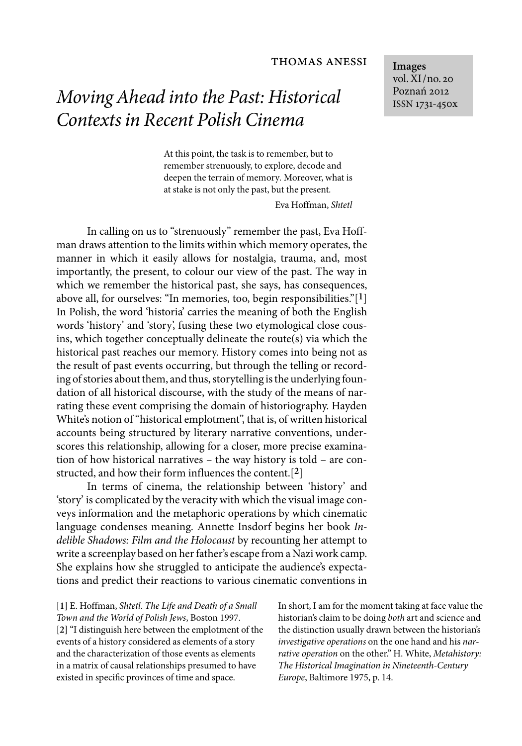## thomas anessi

*Moving Ahead into the Past: Historical Contexts in Recent Polish Cinema*

> At this point, the task is to remember, but to remember strenuously, to explore, decode and deepen the terrain of memory*.* Moreover, what is at stake is not only the past, but the present*.* Eva Hoffman, *Shtetl*

In calling on us to "strenuously" remember the past, Eva Hoffman draws attention to the limits within which memory operates, the manner in which it easily allows for nostalgia, trauma, and, most importantly, the present, to colour our view of the past. The way in which we remember the historical past, she says, has consequences, above all, for ourselves: "In memories, too, begin responsibilities."[**1**] In Polish, the word 'historia' carries the meaning of both the English words 'history' and 'story', fusing these two etymological close cousins, which together conceptually delineate the route(s) via which the historical past reaches our memory. History comes into being not as the result of past events occurring, but through the telling or recording of stories about them, and thus, storytelling is the underlying foundation of all historical discourse, with the study of the means of narrating these event comprising the domain of historiography. Hayden White's notion of "historical emplotment", that is, of written historical accounts being structured by literary narrative conventions, underscores this relationship, allowing for a closer, more precise examination of how historical narratives – the way history is told – are constructed, and how their form influences the content.[**2**]

In terms of cinema, the relationship between 'history' and 'story' is complicated by the veracity with which the visual image conveys information and the metaphoric operations by which cinematic language condenses meaning. Annette Insdorf begins her book *Indelible Shadows: Film and the Holocaust* by recounting her attempt to write a screenplay based on her father's escape from a Nazi work camp. She explains how she struggled to anticipate the audience's expectations and predict their reactions to various cinematic conventions in

[**1**] E. Hoffman, *Shtetl*. *The Life and Death of a Small Town and the World of Polish Jews*, Boston 1997. [**2**] "I distinguish here between the emplotment of the events of a history considered as elements of a story and the characterization of those events as elements in a matrix of causal relationships presumed to have existed in specific provinces of time and space.

In short, I am for the moment taking at face value the historian's claim to be doing *both* art and science and the distinction usually drawn between the historian's *investigative operations* on the one hand and his *narrative operation* on the other." H. White, *Metahistory: The Historical Imagination in Nineteenth-Century Europe*, Baltimore 1975, p. 14.

**Images** vol. XI/no. 20 Poznań 2012 ISSN 1731-450x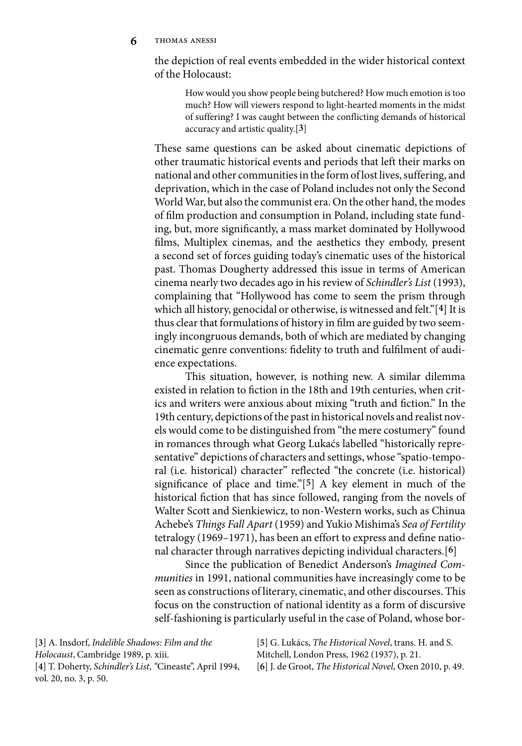**6** thomas anessi

the depiction of real events embedded in the wider historical context of the Holocaust:

How would you show people being butchered? How much emotion is too much? How will viewers respond to light-hearted moments in the midst of suffering? I was caught between the conflicting demands of historical accuracy and artistic quality.[**3**]

These same questions can be asked about cinematic depictions of other traumatic historical events and periods that left their marks on national and other communities in the form of lost lives, suffering, and deprivation, which in the case of Poland includes not only the Second World War, but also the communist era. On the other hand, the modes of film production and consumption in Poland, including state funding, but, more significantly, a mass market dominated by Hollywood films, Multiplex cinemas, and the aesthetics they embody, present a second set of forces guiding today's cinematic uses of the historical past. Thomas Dougherty addressed this issue in terms of American cinema nearly two decades ago in his review of *Schindler's List* (1993), complaining that "Hollywood has come to seem the prism through which all history, genocidal or otherwise, is witnessed and felt."[**4**] It is thus clear that formulations of history in film are guided by two seemingly incongruous demands, both of which are mediated by changing cinematic genre conventions: fidelity to truth and fulfilment of audience expectations.

This situation, however, is nothing new. A similar dilemma existed in relation to fiction in the 18th and 19th centuries, when critics and writers were anxious about mixing "truth and fiction." In the 19th century, depictions of the past in historical novels and realist novels would come to be distinguished from "the mere costumery" found in romances through what Georg Lukaćs labelled "historically representative" depictions of characters and settings, whose "spatio-temporal (i.e. historical) character" reflected "the concrete (i.e. historical) significance of place and time."[**5**] A key element in much of the historical fiction that has since followed, ranging from the novels of Walter Scott and Sienkiewicz, to non-Western works, such as Chinua Achebe's *Things Fall Apart* (1959) and Yukio Mishima's *Sea of Fertility* tetralogy (1969–1971), has been an effort to express and define national character through narratives depicting individual characters.[**6**]

Since the publication of Benedict Anderson's *Imagined Communities* in 1991, national communities have increasingly come to be seen as constructions of literary, cinematic, and other discourses. This focus on the construction of national identity as a form of discursive self-fashioning is particularly useful in the case of Poland, whose bor-

[**3**] A. Insdorf, *Indelible Shadows: Film and the Holocaust*, Cambridge 1989, p. xiii. [**4**] T. Doherty, *Schindler's List*, *"*Cineaste", April 1994, vol. 20, no. 3, p. 50.

[**5**] G. Lukács, *The Historical Novel*, trans. H. and S. Mitchell, London Press, 1962 (1937), p. 21.

[**6**] J. de Groot, *The Historical Novel*, Oxen 2010, p. 49.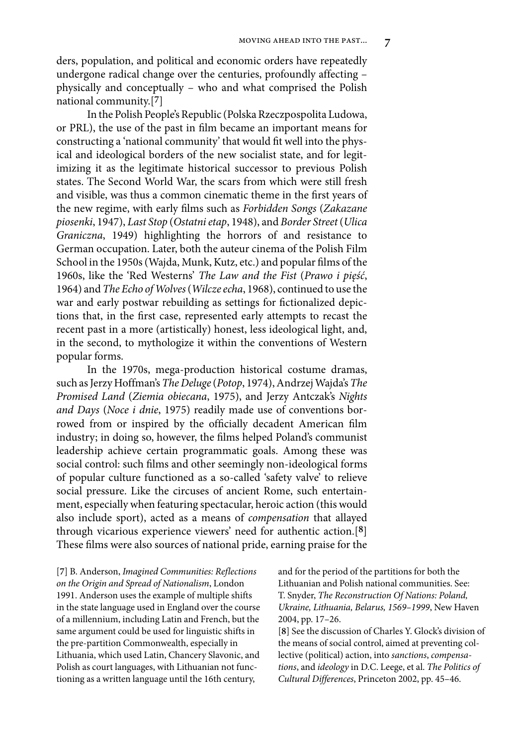ders, population, and political and economic orders have repeatedly undergone radical change over the centuries, profoundly affecting – physically and conceptually – who and what comprised the Polish national community.[**7**]

In the Polish People's Republic (Polska Rzeczpospolita Ludowa, or PRL), the use of the past in film became an important means for constructing a 'national community' that would fit well into the physical and ideological borders of the new socialist state, and for legitimizing it as the legitimate historical successor to previous Polish states. The Second World War, the scars from which were still fresh and visible, was thus a common cinematic theme in the first years of the new regime, with early films such as *Forbidden Songs* (*Zakazane piosenki*, 1947), *Last Stop* (*Ostatni etap*, 1948), and *Border Street* (*Ulica Graniczna*, 1949) highlighting the horrors of and resistance to German occupation. Later, both the auteur cinema of the Polish Film School in the 1950s (Wajda, Munk, Kutz, etc.) and popular films of the 1960s, like the 'Red Westerns' *The Law and the Fist* (*Prawo i pięść*, 1964) and *The Echo of Wolves*(*Wilcze echa*, 1968), continued to use the war and early postwar rebuilding as settings for fictionalized depictions that, in the first case, represented early attempts to recast the recent past in a more (artistically) honest, less ideological light, and, in the second, to mythologize it within the conventions of Western popular forms.

In the 1970s, mega-production historical costume dramas, such as Jerzy Hoffman's*The Deluge* (*Potop*, 1974), Andrzej Wajda's *The Promised Land* (*Ziemia obiecana*, 1975), and Jerzy Antczak's *Nights and Days* (*Noce i dnie*, 1975) readily made use of conventions borrowed from or inspired by the officially decadent American film industry; in doing so, however, the films helped Poland's communist leadership achieve certain programmatic goals. Among these was social control: such films and other seemingly non-ideological forms of popular culture functioned as a so-called 'safety valve' to relieve social pressure. Like the circuses of ancient Rome, such entertainment, especially when featuring spectacular, heroic action (this would also include sport), acted as a means of *compensation* that allayed through vicarious experience viewers' need for authentic action.[**8**] These films were also sources of national pride, earning praise for the

[**7**] B. Anderson, *Imagined Communities: Reflections on the Origin and Spread of Nationalism*, London 1991. Anderson uses the example of multiple shifts in the state language used in England over the course of a millennium, including Latin and French, but the same argument could be used for linguistic shifts in the pre-partition Commonwealth, especially in Lithuania, which used Latin, Chancery Slavonic, and Polish as court languages, with Lithuanian not functioning as a written language until the 16th century,

and for the period of the partitions for both the Lithuanian and Polish national communities. See: T. Snyder, *The Reconstruction Of Nations: Poland, Ukraine, Lithuania, Belarus, 1569–1999*, New Haven 2004, pp. 17–26.

[**8**] See the discussion of Charles Y. Glock's division of the means of social control, aimed at preventing collective (political) action, into *sanctions*, *compensations*, and *ideology* in D.C. Leege, et al. *The Politics of Cultural Differences*, Princeton 2002, pp. 45–46.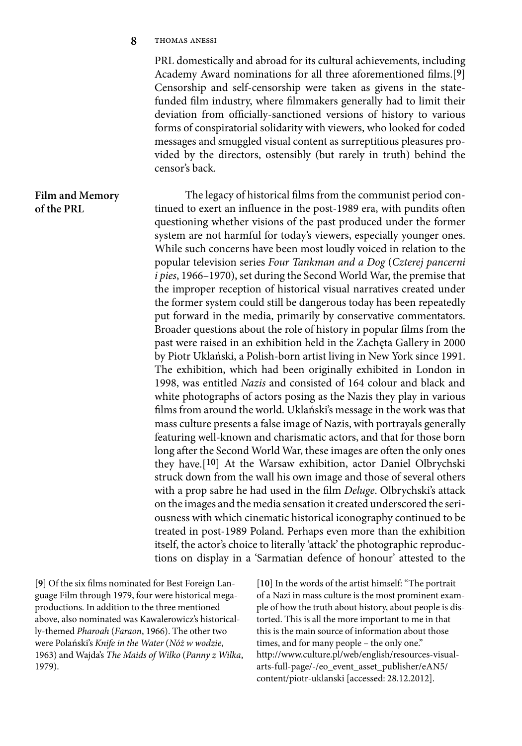**8** thomas anessi

**of the PRL**

PRL domestically and abroad for its cultural achievements, including Academy Award nominations for all three aforementioned films.[**9**] Censorship and self-censorship were taken as givens in the statefunded film industry, where filmmakers generally had to limit their deviation from officially-sanctioned versions of history to various forms of conspiratorial solidarity with viewers, who looked for coded messages and smuggled visual content as surreptitious pleasures provided by the directors, ostensibly (but rarely in truth) behind the censor's back.

The legacy of historical films from the communist period continued to exert an influence in the post-1989 era, with pundits often questioning whether visions of the past produced under the former system are not harmful for today's viewers, especially younger ones. While such concerns have been most loudly voiced in relation to the popular television series *Four Tankman and a Dog* (*Czterej pancerni i pies*, 1966–1970), set during the Second World War, the premise that the improper reception of historical visual narratives created under the former system could still be dangerous today has been repeatedly put forward in the media, primarily by conservative commentators. Broader questions about the role of history in popular films from the past were raised in an exhibition held in the Zachęta Gallery in 2000 by Piotr Uklański, a Polish-born artist living in New York since 1991. The exhibition, which had been originally exhibited in London in 1998, was entitled *Nazis* and consisted of 164 colour and black and white photographs of actors posing as the Nazis they play in various films from around the world. Uklański's message in the work was that mass culture presents a false image of Nazis, with portrayals generally featuring well-known and charismatic actors, and that for those born long after the Second World War, these images are often the only ones they have.[**10**] At the Warsaw exhibition, actor Daniel Olbrychski struck down from the wall his own image and those of several others with a prop sabre he had used in the film *Deluge*. Olbrychski's attack on the images and the media sensation it created underscored the seriousness with which cinematic historical iconography continued to be treated in post-1989 Poland. Perhaps even more than the exhibition itself, the actor's choice to literally 'attack' the photographic reproductions on display in a 'Sarmatian defence of honour' attested to the **Film and Memory** 

[**9**] Of the six films nominated for Best Foreign Language Film through 1979, four were historical megaproductions. In addition to the three mentioned above, also nominated was Kawalerowicz's historically-themed *Pharoah* (*Faraon*, 1966). The other two were Polański's *Knife in the Water* (*Nóż w wodzie*, 1963) and Wajda's *The Maids of Wilko* (*Panny z Wilka*, 1979).

[**10**] In the words of the artist himself: "The portrait of a Nazi in mass culture is the most prominent example of how the truth about history, about people is distorted. This is all the more important to me in that this is the main source of information about those times, and for many people – the only one." http://www.culture.pl/web/english/resources-visualarts-full-page/-/eo\_event\_asset\_publisher/eAN5/ content/piotr-uklanski [accessed: 28.12.2012].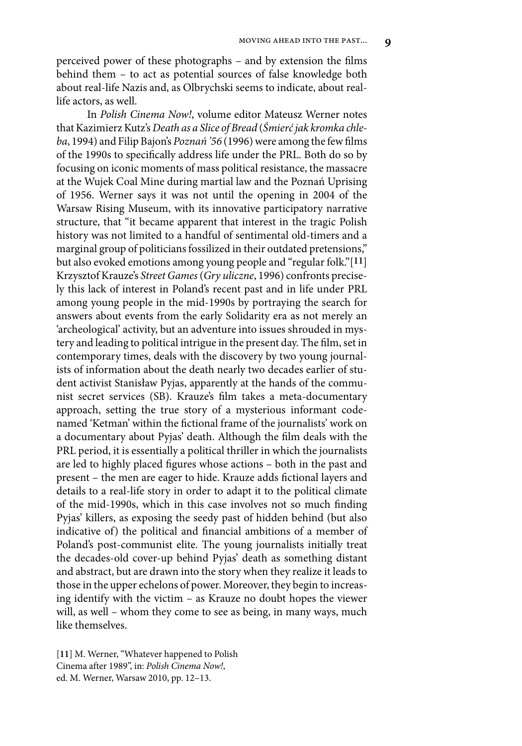perceived power of these photographs – and by extension the films behind them – to act as potential sources of false knowledge both about real-life Nazis and, as Olbrychski seems to indicate, about reallife actors, as well.

In *Polish Cinema Now!*, volume editor Mateusz Werner notes that Kazimierz Kutz's *Death as a Slice of Bread* (*Śmierć jak kromka chleba*, 1994) and Filip Bajon's *Poznań '56* (1996) were among the few films of the 1990s to specifically address life under the PRL. Both do so by focusing on iconic moments of mass political resistance, the massacre at the Wujek Coal Mine during martial law and the Poznań Uprising of 1956. Werner says it was not until the opening in 2004 of the Warsaw Rising Museum, with its innovative participatory narrative structure, that "it became apparent that interest in the tragic Polish history was not limited to a handful of sentimental old-timers and a marginal group of politicians fossilized in their outdated pretensions," but also evoked emotions among young people and "regular folk."[**11**] Krzysztof Krauze's *Street Games*(*Gry uliczne*, 1996) confronts precisely this lack of interest in Poland's recent past and in life under PRL among young people in the mid-1990s by portraying the search for answers about events from the early Solidarity era as not merely an 'archeological' activity, but an adventure into issues shrouded in mystery and leading to political intrigue in the present day. The film, set in contemporary times, deals with the discovery by two young journalists of information about the death nearly two decades earlier of student activist Stanisław Pyjas, apparently at the hands of the communist secret services (SB). Krauze's film takes a meta-documentary approach, setting the true story of a mysterious informant codenamed 'Ketman' within the fictional frame of the journalists' work on a documentary about Pyjas' death. Although the film deals with the PRL period, it is essentially a political thriller in which the journalists are led to highly placed figures whose actions – both in the past and present – the men are eager to hide. Krauze adds fictional layers and details to a real-life story in order to adapt it to the political climate of the mid-1990s, which in this case involves not so much finding Pyjas' killers, as exposing the seedy past of hidden behind (but also indicative of) the political and financial ambitions of a member of Poland's post-communist elite. The young journalists initially treat the decades-old cover-up behind Pyjas' death as something distant and abstract, but are drawn into the story when they realize it leads to those in the upper echelons of power. Moreover, they begin to increasing identify with the victim – as Krauze no doubt hopes the viewer will, as well – whom they come to see as being, in many ways, much like themselves.

[**11**] M. Werner, "Whatever happened to Polish Cinema after 1989", in: *Polish Cinema Now!*, ed. M. Werner, Warsaw 2010, pp. 12–13.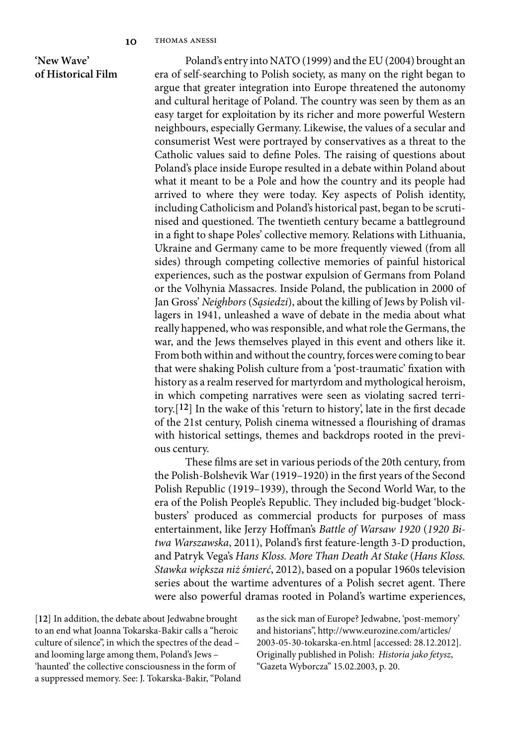## **'New Wave' of Historical Film**

Poland's entry into NATO (1999) and the EU (2004) brought an era of self-searching to Polish society, as many on the right began to argue that greater integration into Europe threatened the autonomy and cultural heritage of Poland. The country was seen by them as an easy target for exploitation by its richer and more powerful Western neighbours, especially Germany. Likewise, the values of a secular and consumerist West were portrayed by conservatives as a threat to the Catholic values said to define Poles. The raising of questions about Poland's place inside Europe resulted in a debate within Poland about what it meant to be a Pole and how the country and its people had arrived to where they were today. Key aspects of Polish identity, including Catholicism and Poland's historical past, began to be scrutinised and questioned. The twentieth century became a battleground in a fight to shape Poles' collective memory. Relations with Lithuania, Ukraine and Germany came to be more frequently viewed (from all sides) through competing collective memories of painful historical experiences, such as the postwar expulsion of Germans from Poland or the Volhynia Massacres. Inside Poland, the publication in 2000 of Jan Gross' *Neighbors* (*Sąsiedzi*), about the killing of Jews by Polish villagers in 1941, unleashed a wave of debate in the media about what really happened, who was responsible, and what role the Germans, the war, and the Jews themselves played in this event and others like it. From both within and without the country, forces were coming to bear that were shaking Polish culture from a 'post-traumatic' fixation with history as a realm reserved for martyrdom and mythological heroism, in which competing narratives were seen as violating sacred territory.[**12**] In the wake of this 'return to history', late in the first decade of the 21st century, Polish cinema witnessed a flourishing of dramas with historical settings, themes and backdrops rooted in the previous century.

These films are set in various periods of the 20th century, from the Polish-Bolshevik War (1919–1920) in the first years of the Second Polish Republic (1919–1939), through the Second World War, to the era of the Polish People's Republic. They included big-budget 'blockbusters' produced as commercial products for purposes of mass entertainment, like Jerzy Hoffman's *Battle of Warsaw 1920* (*1920 Bitwa Warszawska*, 2011), Poland's first feature-length 3-D production, and Patryk Vega's *Hans Kloss. More Than Death At Stake* (*Hans Kloss. Stawka większa niż śmierć*, 2012), based on a popular 1960s television series about the wartime adventures of a Polish secret agent. There were also powerful dramas rooted in Poland's wartime experiences,

[**12**] In addition, the debate about Jedwabne brought to an end what Joanna Tokarska-Bakir calls a "heroic culture of silence", in which the spectres of the dead – and looming large among them, Poland's Jews – 'haunted' the collective consciousness in the form of a suppressed memory. See: J. Tokarska-Bakir, "Poland as the sick man of Europe? Jedwabne, 'post-memory' and historians", http://www.eurozine.com/articles/ 2003-05-30-tokarska-en.html [accessed: 28.12.2012]. Originally published in Polish: *Historia jako fetysz*, "Gazeta Wyborcza" 15.02.2003, p. 20.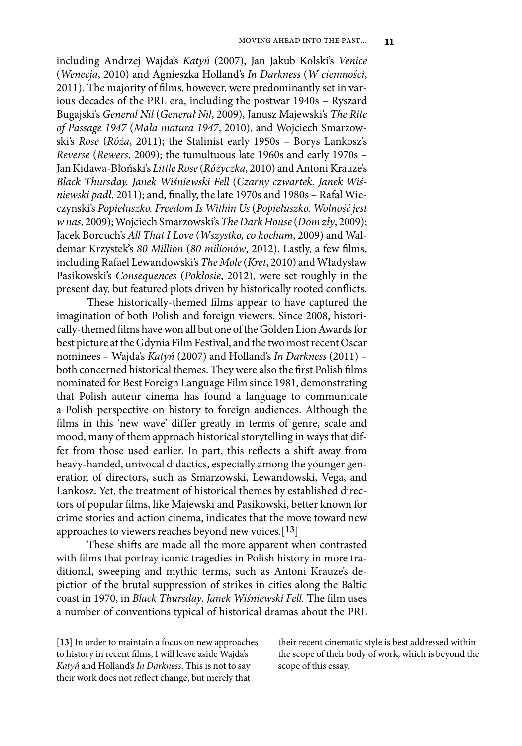including Andrzej Wajda's *Katyń* (2007), Jan Jakub Kolski's *Venice* (*Wenecja*, 2010) and Agnieszka Holland's *In Darkness* (*W ciemności*, 2011). The majority of films, however, were predominantly set in various decades of the PRL era, including the postwar 1940s – Ryszard Bugajski's *General Nil* (*Generał Nil*, 2009), Janusz Majewski's *The Rite of Passage 1947* (*Mała matura 1947*, 2010), and Wojciech Smarzowski's *Rose* (*Róża*, 2011); the Stalinist early 1950s – Borys Lankosz's *Reverse* (*Rewers*, 2009); the tumultuous late 1960s and early 1970s – Jan Kidawa-Błoński's *Little Rose* (*Różyczka*, 2010) and Antoni Krauze's *Black Thursday. Janek Wiśniewski Fell* (*Czarny czwartek. Janek Wiśniewski padł*, 2011); and, finally, the late 1970s and 1980s – Rafal Wieczynski's *Popiełuszko. Freedom Is Within Us* (*Popiełuszko. Wolność jest w nas*, 2009); Wojciech Smarzowski's *The Dark House* (*Dom zły*, 2009); Jacek Borcuch's *All That I Love* (*Wszystko, co kocham*, 2009) and Waldemar Krzystek's *80 Million* (*80 milionów*, 2012). Lastly, a few films, including Rafael Lewandowski's *The Mole* (*Kret*, 2010) and Władysław Pasikowski's *Consequences* (*Pokłosie*, 2012), were set roughly in the present day, but featured plots driven by historically rooted conflicts.

These historically-themed films appear to have captured the imagination of both Polish and foreign viewers. Since 2008, historically-themed films have won all but one of the Golden Lion Awards for best picture at the Gdynia Film Festival, and the two most recent Oscar nominees – Wajda's *Katyń* (2007) and Holland's *In Darkness* (2011) – both concerned historical themes. They were also the first Polish films nominated for Best Foreign Language Film since 1981, demonstrating that Polish auteur cinema has found a language to communicate a Polish perspective on history to foreign audiences. Although the films in this 'new wave' differ greatly in terms of genre, scale and mood, many of them approach historical storytelling in ways that differ from those used earlier. In part, this reflects a shift away from heavy-handed, univocal didactics, especially among the younger generation of directors, such as Smarzowski, Lewandowski, Vega, and Lankosz. Yet, the treatment of historical themes by established directors of popular films, like Majewski and Pasikowski, better known for crime stories and action cinema, indicates that the move toward new approaches to viewers reaches beyond new voices.[**13**]

These shifts are made all the more apparent when contrasted with films that portray iconic tragedies in Polish history in more traditional, sweeping and mythic terms, such as Antoni Krauze's depiction of the brutal suppression of strikes in cities along the Baltic coast in 1970, in *Black Thursday*. *Janek Wiśniewski Fell.* The film uses a number of conventions typical of historical dramas about the PRL

[**13**] In order to maintain a focus on new approaches to history in recent films, I will leave aside Wajda's *Katyń* and Holland's *In Darkness*. This is not to say their work does not reflect change, but merely that

their recent cinematic style is best addressed within the scope of their body of work, which is beyond the scope of this essay.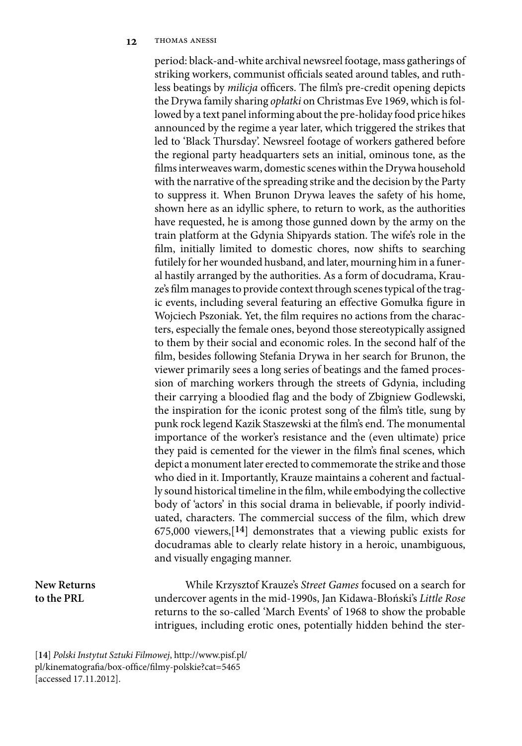period: black-and-white archival newsreel footage, mass gatherings of striking workers, communist officials seated around tables, and ruthless beatings by *milicja* officers. The film's pre-credit opening depicts the Drywa family sharing *opłatki* on Christmas Eve 1969, which is followed by a text panel informing about the pre-holiday food price hikes announced by the regime a year later, which triggered the strikes that led to 'Black Thursday'. Newsreel footage of workers gathered before the regional party headquarters sets an initial, ominous tone, as the films interweaves warm, domestic scenes within the Drywa household with the narrative of the spreading strike and the decision by the Party to suppress it. When Brunon Drywa leaves the safety of his home, shown here as an idyllic sphere, to return to work, as the authorities have requested, he is among those gunned down by the army on the train platform at the Gdynia Shipyards station. The wife's role in the film, initially limited to domestic chores, now shifts to searching futilely for her wounded husband, and later, mourning him in a funeral hastily arranged by the authorities. As a form of docudrama, Krauze's film manages to provide context through scenes typical of the tragic events, including several featuring an effective Gomułka figure in Wojciech Pszoniak. Yet, the film requires no actions from the characters, especially the female ones, beyond those stereotypically assigned to them by their social and economic roles. In the second half of the film, besides following Stefania Drywa in her search for Brunon, the viewer primarily sees a long series of beatings and the famed procession of marching workers through the streets of Gdynia, including their carrying a bloodied flag and the body of Zbigniew Godlewski, the inspiration for the iconic protest song of the film's title, sung by punk rock legend Kazik Staszewski at the film's end. The monumental importance of the worker's resistance and the (even ultimate) price they paid is cemented for the viewer in the film's final scenes, which depict a monument later erected to commemorate the strike and those who died in it. Importantly, Krauze maintains a coherent and factually sound historical timeline in the film, while embodying the collective body of 'actors' in this social drama in believable, if poorly individuated, characters. The commercial success of the film, which drew 675,000 viewers,[**14**] demonstrates that a viewing public exists for docudramas able to clearly relate history in a heroic, unambiguous, and visually engaging manner.

## **New Returns to the PRL**

While Krzysztof Krauze's *Street Games* focused on a search for undercover agents in the mid-1990s, Jan Kidawa-Błoński's *Little Rose* returns to the so-called 'March Events' of 1968 to show the probable intrigues, including erotic ones, potentially hidden behind the ster-

[**14**] *Polski Instytut Sztuki Filmowej*, http://www.pisf.pl/ pl/kinematografia/box-office/filmy-polskie?cat=5465 [accessed 17.11.2012].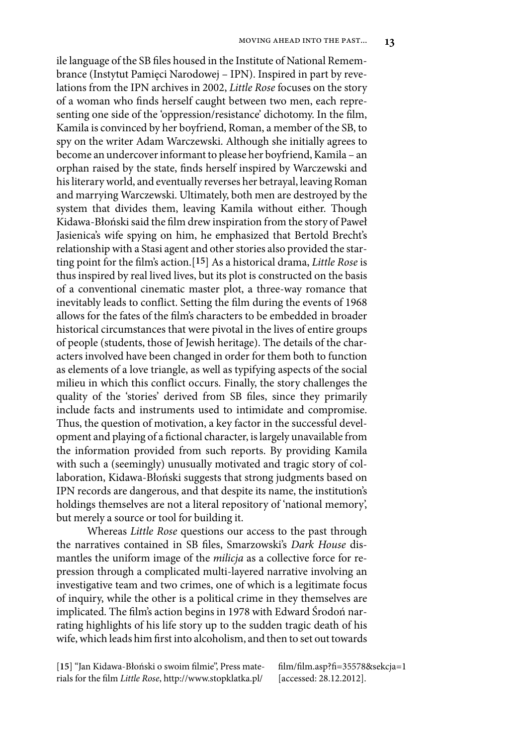ile language of the SB files housed in the Institute of National Remembrance (Instytut Pamięci Narodowej – IPN). Inspired in part by revelations from the IPN archives in 2002, *Little Rose* focuses on the story of a woman who finds herself caught between two men, each representing one side of the 'oppression/resistance' dichotomy. In the film, Kamila is convinced by her boyfriend, Roman, a member of the SB, to spy on the writer Adam Warczewski. Although she initially agrees to become an undercover informant to please her boyfriend, Kamila – an orphan raised by the state, finds herself inspired by Warczewski and his literary world, and eventually reverses her betrayal, leaving Roman and marrying Warczewski. Ultimately, both men are destroyed by the system that divides them, leaving Kamila without either. Though Kidawa-Błoński said the film drew inspiration from the story of Paweł Jasienica's wife spying on him, he emphasized that Bertold Brecht's relationship with a Stasi agent and other stories also provided the starting point for the film's action.[**15**] As a historical drama, *Little Rose* is thus inspired by real lived lives, but its plot is constructed on the basis of a conventional cinematic master plot, a three-way romance that inevitably leads to conflict. Setting the film during the events of 1968 allows for the fates of the film's characters to be embedded in broader historical circumstances that were pivotal in the lives of entire groups of people (students, those of Jewish heritage). The details of the characters involved have been changed in order for them both to function as elements of a love triangle, as well as typifying aspects of the social milieu in which this conflict occurs. Finally, the story challenges the quality of the 'stories' derived from SB files, since they primarily include facts and instruments used to intimidate and compromise. Thus, the question of motivation, a key factor in the successful development and playing of a fictional character, is largely unavailable from the information provided from such reports. By providing Kamila with such a (seemingly) unusually motivated and tragic story of collaboration, Kidawa-Błoński suggests that strong judgments based on IPN records are dangerous, and that despite its name, the institution's holdings themselves are not a literal repository of 'national memory', but merely a source or tool for building it.

Whereas *Little Rose* questions our access to the past through the narratives contained in SB files, Smarzowski's *Dark House* dismantles the uniform image of the *milicja* as a collective force for repression through a complicated multi-layered narrative involving an investigative team and two crimes, one of which is a legitimate focus of inquiry, while the other is a political crime in they themselves are implicated. The film's action begins in 1978 with Edward Środoń narrating highlights of his life story up to the sudden tragic death of his wife, which leads him first into alcoholism, and then to set out towards

[**15**] "Jan Kidawa-Błoński o swoim filmie", Press materials for the film *Little Rose*, http://www.stopklatka.pl/

film/film.asp?fi=35578&sekcja=1 [accessed: 28.12.2012].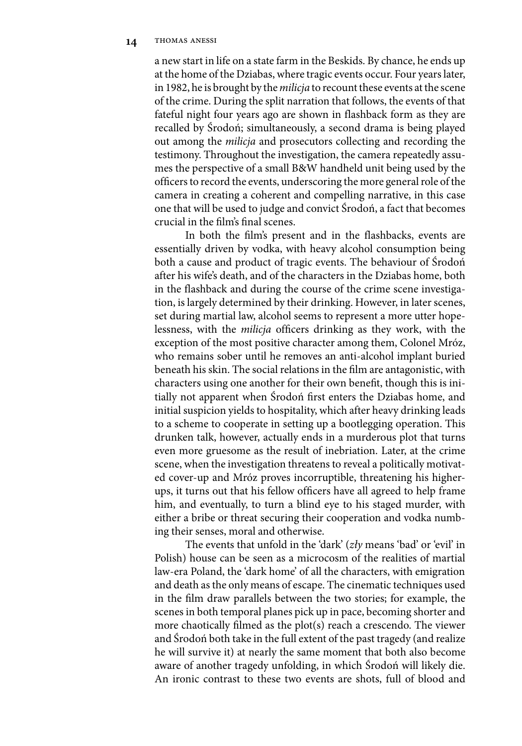a new start in life on a state farm in the Beskids. By chance, he ends up at the home of the Dziabas, where tragic events occur. Four years later, in 1982, he is brought by the *milicja* to recount these events at the scene of the crime. During the split narration that follows, the events of that fateful night four years ago are shown in flashback form as they are recalled by Środoń; simultaneously, a second drama is being played out among the *milicja* and prosecutors collecting and recording the testimony. Throughout the investigation, the camera repeatedly assumes the perspective of a small B&W handheld unit being used by the officers to record the events, underscoring the more general role of the camera in creating a coherent and compelling narrative, in this case one that will be used to judge and convict Środoń, a fact that becomes crucial in the film's final scenes.

In both the film's present and in the flashbacks, events are essentially driven by vodka, with heavy alcohol consumption being both a cause and product of tragic events. The behaviour of Środoń after his wife's death, and of the characters in the Dziabas home, both in the flashback and during the course of the crime scene investigation, is largely determined by their drinking. However, in later scenes, set during martial law, alcohol seems to represent a more utter hopelessness, with the *milicja* officers drinking as they work, with the exception of the most positive character among them, Colonel Mróz, who remains sober until he removes an anti-alcohol implant buried beneath his skin. The social relations in the film are antagonistic, with characters using one another for their own benefit, though this is initially not apparent when Środoń first enters the Dziabas home, and initial suspicion yields to hospitality, which after heavy drinking leads to a scheme to cooperate in setting up a bootlegging operation. This drunken talk, however, actually ends in a murderous plot that turns even more gruesome as the result of inebriation. Later, at the crime scene, when the investigation threatens to reveal a politically motivated cover-up and Mróz proves incorruptible, threatening his higherups, it turns out that his fellow officers have all agreed to help frame him, and eventually, to turn a blind eye to his staged murder, with either a bribe or threat securing their cooperation and vodka numbing their senses, moral and otherwise.

The events that unfold in the 'dark' (*zły* means 'bad' or 'evil' in Polish) house can be seen as a microcosm of the realities of martial law-era Poland, the 'dark home' of all the characters, with emigration and death as the only means of escape. The cinematic techniques used in the film draw parallels between the two stories; for example, the scenes in both temporal planes pick up in pace, becoming shorter and more chaotically filmed as the plot(s) reach a crescendo. The viewer and Środoń both take in the full extent of the past tragedy (and realize he will survive it) at nearly the same moment that both also become aware of another tragedy unfolding, in which Środoń will likely die. An ironic contrast to these two events are shots, full of blood and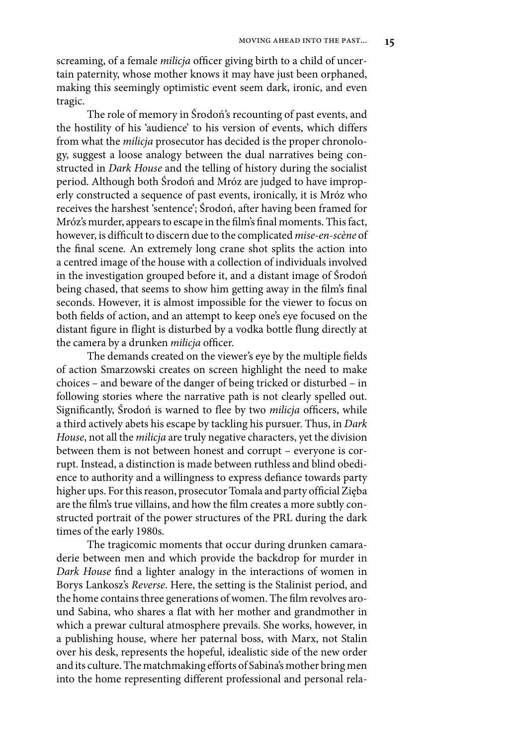screaming, of a female *milicja* officer giving birth to a child of uncertain paternity, whose mother knows it may have just been orphaned, making this seemingly optimistic event seem dark, ironic, and even tragic.

The role of memory in Środoń's recounting of past events, and the hostility of his 'audience' to his version of events, which differs from what the *milicja* prosecutor has decided is the proper chronology, suggest a loose analogy between the dual narratives being constructed in *Dark House* and the telling of history during the socialist period. Although both Środoń and Mróz are judged to have improperly constructed a sequence of past events, ironically, it is Mróz who receives the harshest 'sentence'; Środoń, after having been framed for Mróz's murder, appears to escape in the film's final moments. This fact, however, is difficult to discern due to the complicated *mise-en-scène* of the final scene. An extremely long crane shot splits the action into a centred image of the house with a collection of individuals involved in the investigation grouped before it, and a distant image of Środoń being chased, that seems to show him getting away in the film's final seconds. However, it is almost impossible for the viewer to focus on both fields of action, and an attempt to keep one's eye focused on the distant figure in flight is disturbed by a vodka bottle flung directly at the camera by a drunken *milicja* officer.

The demands created on the viewer's eye by the multiple fields of action Smarzowski creates on screen highlight the need to make choices – and beware of the danger of being tricked or disturbed – in following stories where the narrative path is not clearly spelled out. Significantly, Środoń is warned to flee by two *milicja* officers, while a third actively abets his escape by tackling his pursuer. Thus, in *Dark House*, not all the *milicja* are truly negative characters, yet the division between them is not between honest and corrupt – everyone is corrupt. Instead, a distinction is made between ruthless and blind obedience to authority and a willingness to express defiance towards party higher ups. For this reason, prosecutor Tomala and party official Zięba are the film's true villains, and how the film creates a more subtly constructed portrait of the power structures of the PRL during the dark times of the early 1980s.

The tragicomic moments that occur during drunken camaraderie between men and which provide the backdrop for murder in *Dark House* find a lighter analogy in the interactions of women in Borys Lankosz's *Reverse*. Here, the setting is the Stalinist period, and the home contains three generations of women. The film revolves around Sabina, who shares a flat with her mother and grandmother in which a prewar cultural atmosphere prevails. She works, however, in a publishing house, where her paternal boss, with Marx, not Stalin over his desk, represents the hopeful, idealistic side of the new order and its culture. The matchmaking efforts of Sabina's mother bring men into the home representing different professional and personal rela-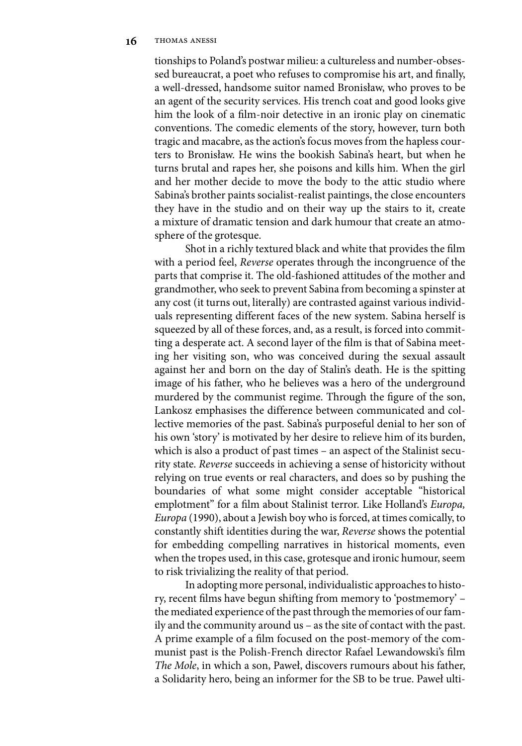tionships to Poland's postwar milieu: a cultureless and number-obsessed bureaucrat, a poet who refuses to compromise his art, and finally, a well-dressed, handsome suitor named Bronisław, who proves to be an agent of the security services. His trench coat and good looks give him the look of a film-noir detective in an ironic play on cinematic conventions. The comedic elements of the story, however, turn both tragic and macabre, as the action's focus moves from the hapless courters to Bronisław. He wins the bookish Sabina's heart, but when he turns brutal and rapes her, she poisons and kills him. When the girl and her mother decide to move the body to the attic studio where Sabina's brother paints socialist-realist paintings, the close encounters they have in the studio and on their way up the stairs to it, create a mixture of dramatic tension and dark humour that create an atmosphere of the grotesque.

Shot in a richly textured black and white that provides the film with a period feel, *Reverse* operates through the incongruence of the parts that comprise it. The old-fashioned attitudes of the mother and grandmother, who seek to prevent Sabina from becoming a spinster at any cost (it turns out, literally) are contrasted against various individuals representing different faces of the new system. Sabina herself is squeezed by all of these forces, and, as a result, is forced into committing a desperate act. A second layer of the film is that of Sabina meeting her visiting son, who was conceived during the sexual assault against her and born on the day of Stalin's death. He is the spitting image of his father, who he believes was a hero of the underground murdered by the communist regime. Through the figure of the son, Lankosz emphasises the difference between communicated and collective memories of the past. Sabina's purposeful denial to her son of his own 'story' is motivated by her desire to relieve him of its burden, which is also a product of past times – an aspect of the Stalinist security state. *Reverse* succeeds in achieving a sense of historicity without relying on true events or real characters, and does so by pushing the boundaries of what some might consider acceptable "historical emplotment" for a film about Stalinist terror. Like Holland's *Europa, Europa* (1990), about a Jewish boy who is forced, at times comically, to constantly shift identities during the war, *Reverse* shows the potential for embedding compelling narratives in historical moments, even when the tropes used, in this case, grotesque and ironic humour, seem to risk trivializing the reality of that period.

In adopting more personal, individualistic approaches to history, recent films have begun shifting from memory to 'postmemory' – the mediated experience of the past through the memories of our family and the community around us – as the site of contact with the past. A prime example of a film focused on the post-memory of the communist past is the Polish-French director Rafael Lewandowski's film *The Mole*, in which a son, Paweł, discovers rumours about his father, a Solidarity hero, being an informer for the SB to be true. Paweł ulti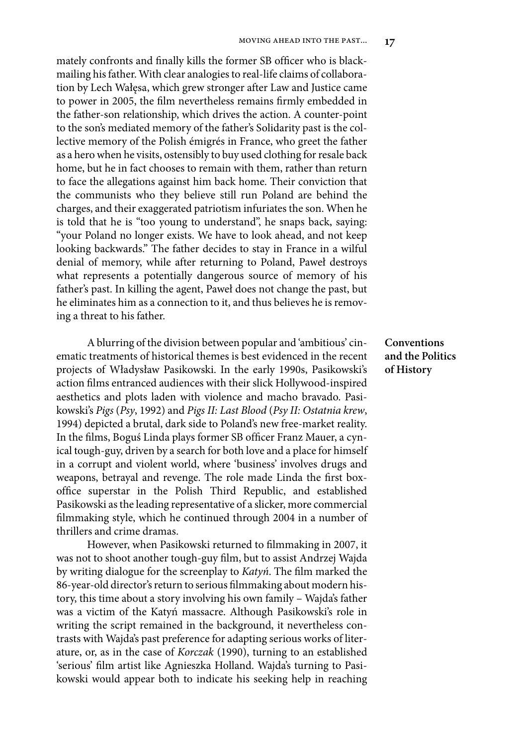mately confronts and finally kills the former SB officer who is blackmailing his father. With clear analogies to real-life claims of collaboration by Lech Wałęsa, which grew stronger after Law and Justice came to power in 2005, the film nevertheless remains firmly embedded in the father-son relationship, which drives the action. A counter-point to the son's mediated memory of the father's Solidarity past is the collective memory of the Polish émigrés in France, who greet the father as a hero when he visits, ostensibly to buy used clothing for resale back home, but he in fact chooses to remain with them, rather than return to face the allegations against him back home. Their conviction that the communists who they believe still run Poland are behind the charges, and their exaggerated patriotism infuriates the son. When he is told that he is "too young to understand", he snaps back, saying: "your Poland no longer exists. We have to look ahead, and not keep looking backwards." The father decides to stay in France in a wilful denial of memory, while after returning to Poland, Paweł destroys what represents a potentially dangerous source of memory of his father's past. In killing the agent, Paweł does not change the past, but he eliminates him as a connection to it, and thus believes he is removing a threat to his father.

A blurring of the division between popular and 'ambitious' cinematic treatments of historical themes is best evidenced in the recent projects of Władysław Pasikowski. In the early 1990s, Pasikowski's action films entranced audiences with their slick Hollywood-inspired aesthetics and plots laden with violence and macho bravado. Pasikowski's *Pigs* (*Psy*, 1992) and *Pigs II: Last Blood* (*Psy II: Ostatnia krew*, 1994) depicted a brutal, dark side to Poland's new free-market reality. In the films, Boguś Linda plays former SB officer Franz Mauer, a cynical tough-guy, driven by a search for both love and a place for himself in a corrupt and violent world, where 'business' involves drugs and weapons, betrayal and revenge. The role made Linda the first boxoffice superstar in the Polish Third Republic, and established Pasikowski as the leading representative of a slicker, more commercial filmmaking style, which he continued through 2004 in a number of thrillers and crime dramas.

However, when Pasikowski returned to filmmaking in 2007, it was not to shoot another tough-guy film, but to assist Andrzej Wajda by writing dialogue for the screenplay to *Katyń*. The film marked the 86-year-old director's return to serious filmmaking about modern history, this time about a story involving his own family – Wajda's father was a victim of the Katyń massacre. Although Pasikowski's role in writing the script remained in the background, it nevertheless contrasts with Wajda's past preference for adapting serious works of literature, or, as in the case of *Korczak* (1990), turning to an established 'serious' film artist like Agnieszka Holland. Wajda's turning to Pasikowski would appear both to indicate his seeking help in reaching

**Conventions and the Politics of History**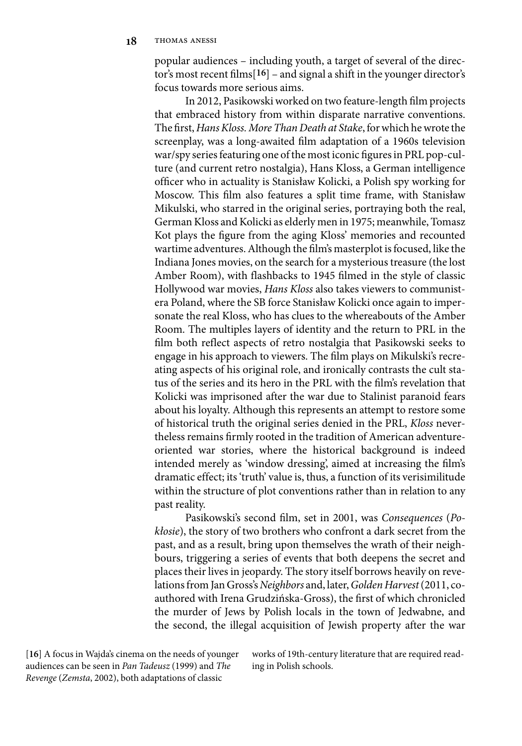popular audiences – including youth, a target of several of the director's most recent films[**16**] – and signal a shift in the younger director's focus towards more serious aims.

In 2012, Pasikowski worked on two feature-length film projects that embraced history from within disparate narrative conventions. The first,*Hans Kloss. More Than Death at Stake*, for which he wrote the screenplay, was a long-awaited film adaptation of a 1960s television war/spy series featuring one of the most iconic figures in PRL pop-culture (and current retro nostalgia), Hans Kloss, a German intelligence officer who in actuality is Stanisław Kolicki, a Polish spy working for Moscow. This film also features a split time frame, with Stanisław Mikulski, who starred in the original series, portraying both the real, German Kloss and Kolicki as elderly men in 1975; meanwhile, Tomasz Kot plays the figure from the aging Kloss' memories and recounted wartime adventures. Although the film's masterplot is focused, like the Indiana Jones movies, on the search for a mysterious treasure (the lost Amber Room), with flashbacks to 1945 filmed in the style of classic Hollywood war movies, *Hans Kloss* also takes viewers to communistera Poland, where the SB force Stanisław Kolicki once again to impersonate the real Kloss, who has clues to the whereabouts of the Amber Room. The multiples layers of identity and the return to PRL in the film both reflect aspects of retro nostalgia that Pasikowski seeks to engage in his approach to viewers. The film plays on Mikulski's recreating aspects of his original role, and ironically contrasts the cult status of the series and its hero in the PRL with the film's revelation that Kolicki was imprisoned after the war due to Stalinist paranoid fears about his loyalty. Although this represents an attempt to restore some of historical truth the original series denied in the PRL, *Kloss* nevertheless remains firmly rooted in the tradition of American adventureoriented war stories, where the historical background is indeed intended merely as 'window dressing', aimed at increasing the film's dramatic effect; its 'truth' value is, thus, a function of its verisimilitude within the structure of plot conventions rather than in relation to any past reality.

Pasikowski's second film, set in 2001, was *Consequences* (*Pokłosie*), the story of two brothers who confront a dark secret from the past, and as a result, bring upon themselves the wrath of their neighbours, triggering a series of events that both deepens the secret and places their lives in jeopardy. The story itself borrows heavily on revelations from Jan Gross's *Neighbors* and, later, *Golden Harvest*(2011, coauthored with Irena Grudzińska-Gross), the first of which chronicled the murder of Jews by Polish locals in the town of Jedwabne, and the second, the illegal acquisition of Jewish property after the war

[**16**] A focus in Wajda's cinema on the needs of younger audiences can be seen in *Pan Tadeusz* (1999) and *The Revenge* (*Zemsta*, 2002), both adaptations of classic

works of 19th-century literature that are required reading in Polish schools.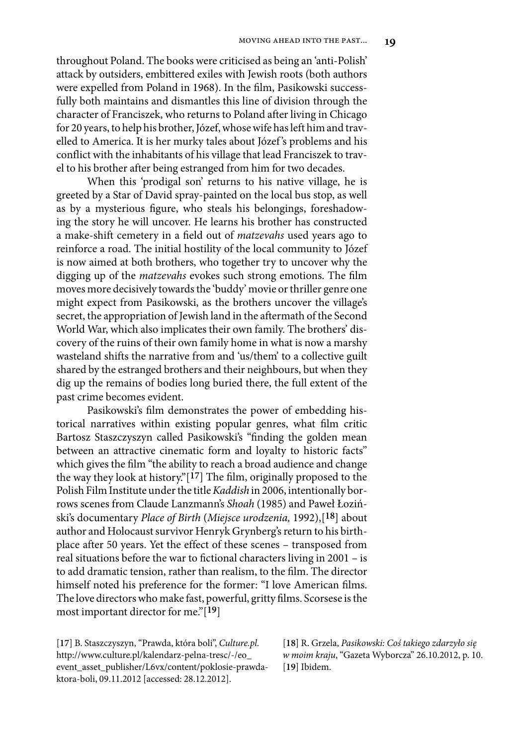throughout Poland. The books were criticised as being an 'anti-Polish' attack by outsiders, embittered exiles with Jewish roots (both authors were expelled from Poland in 1968). In the film, Pasikowski successfully both maintains and dismantles this line of division through the character of Franciszek, who returns to Poland after living in Chicago for 20 years, to help his brother, Józef, whose wife has left him and travelled to America. It is her murky tales about Józef 's problems and his conflict with the inhabitants of his village that lead Franciszek to travel to his brother after being estranged from him for two decades.

When this 'prodigal son' returns to his native village, he is greeted by a Star of David spray-painted on the local bus stop, as well as by a mysterious figure, who steals his belongings, foreshadowing the story he will uncover. He learns his brother has constructed a make-shift cemetery in a field out of *matzevahs* used years ago to reinforce a road. The initial hostility of the local community to Józef is now aimed at both brothers, who together try to uncover why the digging up of the *matzevahs* evokes such strong emotions. The film moves more decisively towards the 'buddy' movie or thriller genre one might expect from Pasikowski, as the brothers uncover the village's secret, the appropriation of Jewish land in the aftermath of the Second World War, which also implicates their own family. The brothers' discovery of the ruins of their own family home in what is now a marshy wasteland shifts the narrative from and 'us/them' to a collective guilt shared by the estranged brothers and their neighbours, but when they dig up the remains of bodies long buried there, the full extent of the past crime becomes evident.

Pasikowski's film demonstrates the power of embedding historical narratives within existing popular genres, what film critic Bartosz Staszczyszyn called Pasikowski's "finding the golden mean between an attractive cinematic form and loyalty to historic facts" which gives the film "the ability to reach a broad audience and change the way they look at history."[**17**] The film, originally proposed to the Polish Film Institute under the title *Kaddish* in 2006, intentionally borrows scenes from Claude Lanzmann's *Shoah* (1985) and Paweł Łoziński's documentary *Place of Birth* (*Miejsce urodzenia,* 1992),[**18**] about author and Holocaust survivor Henryk Grynberg's return to his birthplace after 50 years. Yet the effect of these scenes – transposed from real situations before the war to fictional characters living in 2001 – is to add dramatic tension, rather than realism, to the film. The director himself noted his preference for the former: "I love American films. The love directors who make fast, powerful, gritty films. Scorsese is the most important director for me."[**19**]

[**17**] B. Staszczyszyn, "Prawda, która boli", *Culture.pl*. http://www.culture.pl/kalendarz-pelna-tresc/-/eo\_ event\_asset\_publisher/L6vx/content/poklosie-prawdaktora-boli, 09.11.2012 [accessed: 28.12.2012].

[**18**] R. Grzela, *Pasikowski: Coś takiego zdarzyło się w moim kraju*, "Gazeta Wyborcza" 26.10.2012, p. 10. [**19**] Ibidem.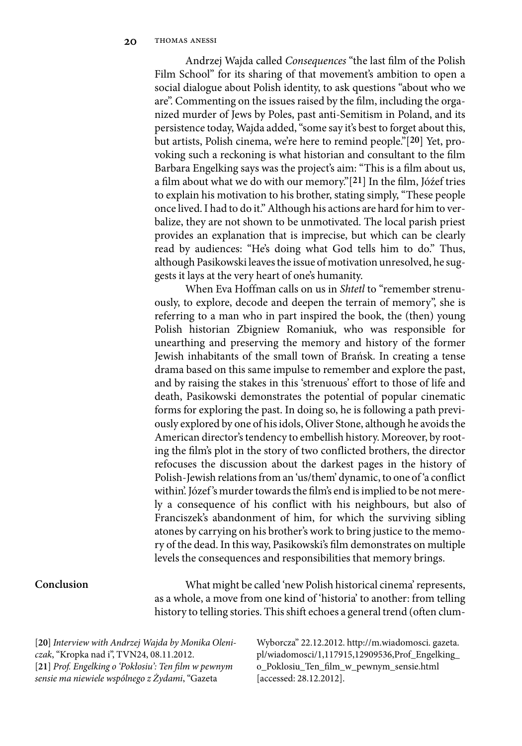Andrzej Wajda called *Consequences* "the last film of the Polish Film School" for its sharing of that movement's ambition to open a social dialogue about Polish identity, to ask questions "about who we are". Commenting on the issues raised by the film, including the organized murder of Jews by Poles, past anti-Semitism in Poland, and its persistence today, Wajda added, "some say it's best to forget about this, but artists, Polish cinema, we're here to remind people."[**20**] Yet, provoking such a reckoning is what historian and consultant to the film Barbara Engelking says was the project's aim: "This is a film about us, a film about what we do with our memory."[**21**] In the film, Jóźef tries to explain his motivation to his brother, stating simply, "These people once lived. I had to do it." Although his actions are hard for him to verbalize, they are not shown to be unmotivated. The local parish priest provides an explanation that is imprecise, but which can be clearly read by audiences: "He's doing what God tells him to do." Thus, although Pasikowski leaves the issue of motivation unresolved, he suggests it lays at the very heart of one's humanity.

When Eva Hoffman calls on us in *Shtetl* to "remember strenuously, to explore, decode and deepen the terrain of memory", she is referring to a man who in part inspired the book, the (then) young Polish historian Zbigniew Romaniuk, who was responsible for unearthing and preserving the memory and history of the former Jewish inhabitants of the small town of Brańsk. In creating a tense drama based on this same impulse to remember and explore the past, and by raising the stakes in this 'strenuous' effort to those of life and death, Pasikowski demonstrates the potential of popular cinematic forms for exploring the past. In doing so, he is following a path previously explored by one of his idols, Oliver Stone, although he avoids the American director's tendency to embellish history. Moreover, by rooting the film's plot in the story of two conflicted brothers, the director refocuses the discussion about the darkest pages in the history of Polish-Jewish relations from an 'us/them' dynamic, to one of 'a conflict within'. Józef 's murder towards the film's end is implied to be not merely a consequence of his conflict with his neighbours, but also of Franciszek's abandonment of him, for which the surviving sibling atones by carrying on his brother's work to bring justice to the memory of the dead. In this way, Pasikowski's film demonstrates on multiple levels the consequences and responsibilities that memory brings.

## **Conclusion**

What might be called 'new Polish historical cinema' represents, as a whole, a move from one kind of 'historia' to another: from telling history to telling stories. This shift echoes a general trend (often clum-

[**20**] *Interview with Andrzej Wajda by Monika Oleniczak*, "Kropka nad i", TVN24, 08.11.2012. [**21**] *Prof. Engelking o 'Pokłosiu': Ten film w pewnym sensie ma niewiele wspólnego z Żydami*, "Gazeta

Wyborcza" 22.12.2012. http://m.wiadomosci. gazeta. pl/wiadomosci/1,117915,12909536,Prof\_Engelking\_ o\_Poklosiu\_Ten\_film\_w\_pewnym\_sensie.html [accessed: 28.12.2012].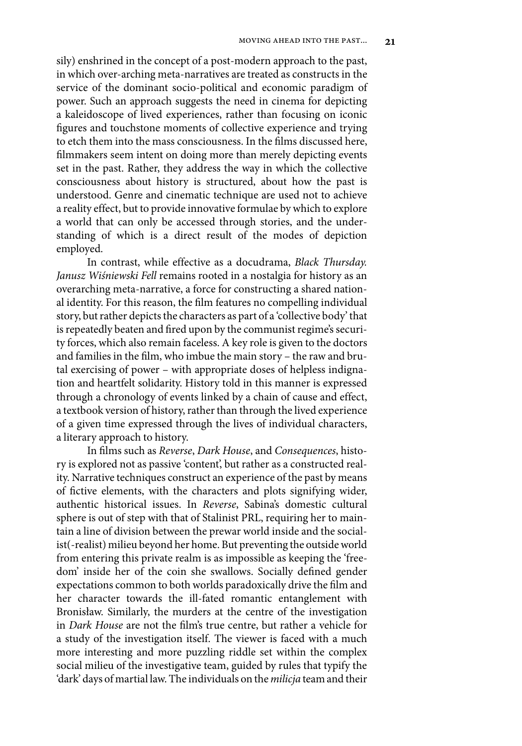sily) enshrined in the concept of a post-modern approach to the past, in which over-arching meta-narratives are treated as constructs in the service of the dominant socio-political and economic paradigm of power. Such an approach suggests the need in cinema for depicting a kaleidoscope of lived experiences, rather than focusing on iconic figures and touchstone moments of collective experience and trying to etch them into the mass consciousness. In the films discussed here, filmmakers seem intent on doing more than merely depicting events set in the past. Rather, they address the way in which the collective consciousness about history is structured, about how the past is understood. Genre and cinematic technique are used not to achieve a reality effect, but to provide innovative formulae by which to explore a world that can only be accessed through stories, and the understanding of which is a direct result of the modes of depiction employed.

In contrast, while effective as a docudrama, *Black Thursday. Janusz Wiśniewski Fell* remains rooted in a nostalgia for history as an overarching meta-narrative, a force for constructing a shared national identity. For this reason, the film features no compelling individual story, but rather depicts the characters as part of a 'collective body' that is repeatedly beaten and fired upon by the communist regime's security forces, which also remain faceless. A key role is given to the doctors and families in the film, who imbue the main story – the raw and brutal exercising of power – with appropriate doses of helpless indignation and heartfelt solidarity. History told in this manner is expressed through a chronology of events linked by a chain of cause and effect, a textbook version of history, rather than through the lived experience of a given time expressed through the lives of individual characters, a literary approach to history.

In films such as *Reverse*, *Dark House*, and *Consequences*, history is explored not as passive 'content', but rather as a constructed reality. Narrative techniques construct an experience of the past by means of fictive elements, with the characters and plots signifying wider, authentic historical issues. In *Reverse*, Sabina's domestic cultural sphere is out of step with that of Stalinist PRL, requiring her to maintain a line of division between the prewar world inside and the socialist(-realist) milieu beyond her home. But preventing the outside world from entering this private realm is as impossible as keeping the 'freedom' inside her of the coin she swallows. Socially defined gender expectations common to both worlds paradoxically drive the film and her character towards the ill-fated romantic entanglement with Bronisław. Similarly, the murders at the centre of the investigation in *Dark House* are not the film's true centre, but rather a vehicle for a study of the investigation itself. The viewer is faced with a much more interesting and more puzzling riddle set within the complex social milieu of the investigative team, guided by rules that typify the 'dark' days of martial law. The individuals on the *milicja* team and their